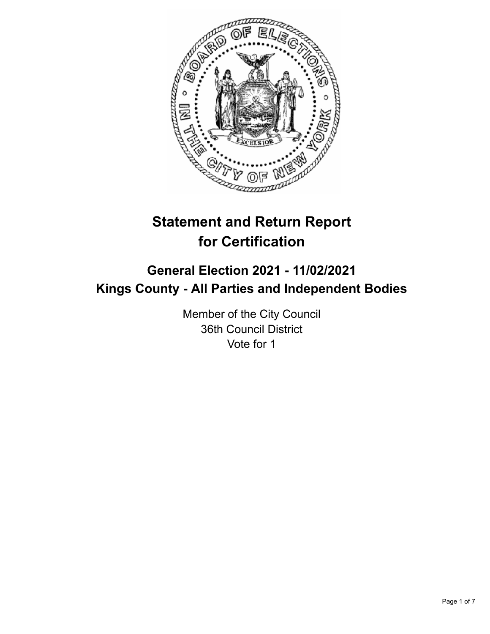

# **Statement and Return Report for Certification**

## **General Election 2021 - 11/02/2021 Kings County - All Parties and Independent Bodies**

Member of the City Council 36th Council District Vote for 1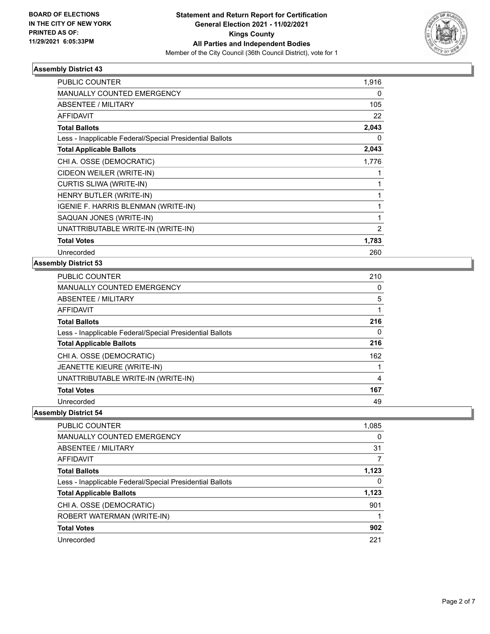

| PUBLIC COUNTER                                           | 1,916          |
|----------------------------------------------------------|----------------|
| <b>MANUALLY COUNTED EMERGENCY</b>                        | 0              |
| ABSENTEE / MILITARY                                      | 105            |
| <b>AFFIDAVIT</b>                                         | 22             |
| <b>Total Ballots</b>                                     | 2,043          |
| Less - Inapplicable Federal/Special Presidential Ballots | 0              |
| <b>Total Applicable Ballots</b>                          | 2,043          |
| CHI A. OSSE (DEMOCRATIC)                                 | 1,776          |
| CIDEON WEILER (WRITE-IN)                                 |                |
| CURTIS SLIWA (WRITE-IN)                                  |                |
| HENRY BUTLER (WRITE-IN)                                  |                |
| IGENIE F. HARRIS BLENMAN (WRITE-IN)                      | 1              |
| SAQUAN JONES (WRITE-IN)                                  | 1              |
| UNATTRIBUTABLE WRITE-IN (WRITE-IN)                       | $\overline{2}$ |
| <b>Total Votes</b>                                       | 1,783          |
| Unrecorded                                               | 260            |

#### **Assembly District 53**

| <b>PUBLIC COUNTER</b>                                    | 210      |
|----------------------------------------------------------|----------|
| <b>MANUALLY COUNTED EMERGENCY</b>                        | $\Omega$ |
| ABSENTEE / MILITARY                                      | 5        |
| <b>AFFIDAVIT</b>                                         |          |
| <b>Total Ballots</b>                                     | 216      |
| Less - Inapplicable Federal/Special Presidential Ballots | 0        |
| <b>Total Applicable Ballots</b>                          | 216      |
| CHI A. OSSE (DEMOCRATIC)                                 | 162      |
| JEANETTE KIEURE (WRITE-IN)                               |          |
| UNATTRIBUTABLE WRITE-IN (WRITE-IN)                       | 4        |
| <b>Total Votes</b>                                       | 167      |
| Unrecorded                                               | 49       |

| <b>PUBLIC COUNTER</b>                                    | 1,085    |
|----------------------------------------------------------|----------|
| <b>MANUALLY COUNTED EMERGENCY</b>                        | $\Omega$ |
| ABSENTEE / MILITARY                                      | 31       |
| <b>AFFIDAVIT</b>                                         |          |
| <b>Total Ballots</b>                                     | 1,123    |
| Less - Inapplicable Federal/Special Presidential Ballots | 0        |
| <b>Total Applicable Ballots</b>                          | 1,123    |
| CHI A. OSSE (DEMOCRATIC)                                 | 901      |
| ROBERT WATERMAN (WRITE-IN)                               |          |
| <b>Total Votes</b>                                       | 902      |
| Unrecorded                                               | 221      |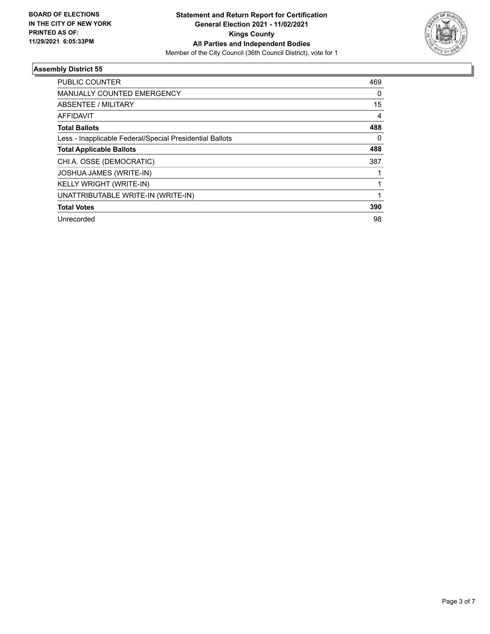

| <b>PUBLIC COUNTER</b>                                    | 469 |
|----------------------------------------------------------|-----|
| <b>MANUALLY COUNTED EMERGENCY</b>                        | 0   |
| ABSENTEE / MILITARY                                      | 15  |
| <b>AFFIDAVIT</b>                                         | 4   |
| <b>Total Ballots</b>                                     | 488 |
| Less - Inapplicable Federal/Special Presidential Ballots | 0   |
| <b>Total Applicable Ballots</b>                          | 488 |
| CHI A. OSSE (DEMOCRATIC)                                 | 387 |
| <b>JOSHUA JAMES (WRITE-IN)</b>                           |     |
| KELLY WRIGHT (WRITE-IN)                                  |     |
| UNATTRIBUTABLE WRITE-IN (WRITE-IN)                       |     |
| <b>Total Votes</b>                                       | 390 |
| Unrecorded                                               | 98  |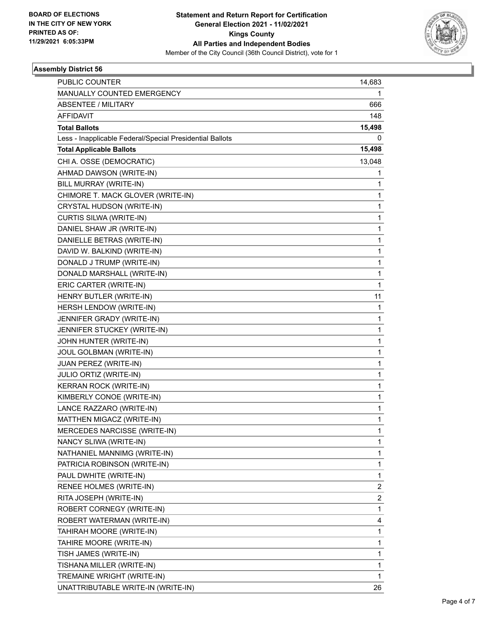

| PUBLIC COUNTER                                           | 14,683                  |
|----------------------------------------------------------|-------------------------|
| MANUALLY COUNTED EMERGENCY                               | 1                       |
| <b>ABSENTEE / MILITARY</b>                               | 666                     |
| <b>AFFIDAVIT</b>                                         | 148                     |
| <b>Total Ballots</b>                                     | 15,498                  |
| Less - Inapplicable Federal/Special Presidential Ballots | 0                       |
| <b>Total Applicable Ballots</b>                          | 15,498                  |
| CHI A. OSSE (DEMOCRATIC)                                 | 13,048                  |
| AHMAD DAWSON (WRITE-IN)                                  | 1                       |
| BILL MURRAY (WRITE-IN)                                   | 1                       |
| CHIMORE T. MACK GLOVER (WRITE-IN)                        | 1                       |
| CRYSTAL HUDSON (WRITE-IN)                                | 1                       |
| CURTIS SILWA (WRITE-IN)                                  | $\mathbf{1}$            |
| DANIEL SHAW JR (WRITE-IN)                                | 1                       |
| DANIELLE BETRAS (WRITE-IN)                               | 1                       |
| DAVID W. BALKIND (WRITE-IN)                              | 1                       |
| DONALD J TRUMP (WRITE-IN)                                | 1                       |
| DONALD MARSHALL (WRITE-IN)                               | 1                       |
| ERIC CARTER (WRITE-IN)                                   | $\mathbf{1}$            |
| HENRY BUTLER (WRITE-IN)                                  | 11                      |
| HERSH LENDOW (WRITE-IN)                                  | 1                       |
| JENNIFER GRADY (WRITE-IN)                                | 1                       |
| JENNIFER STUCKEY (WRITE-IN)                              | 1                       |
| JOHN HUNTER (WRITE-IN)                                   | 1                       |
| JOUL GOLBMAN (WRITE-IN)                                  | $\mathbf{1}$            |
| JUAN PEREZ (WRITE-IN)                                    | 1                       |
| JULIO ORTIZ (WRITE-IN)                                   | 1                       |
| KERRAN ROCK (WRITE-IN)                                   | 1                       |
| KIMBERLY CONOE (WRITE-IN)                                | 1                       |
| LANCE RAZZARO (WRITE-IN)                                 | 1                       |
| MATTHEN MIGACZ (WRITE-IN)                                | $\mathbf{1}$            |
| MERCEDES NARCISSE (WRITE-IN)                             | 1                       |
| NANCY SLIWA (WRITE-IN)                                   | 1                       |
| NATHANIEL MANNIMG (WRITE-IN)                             | 1                       |
| PATRICIA ROBINSON (WRITE-IN)                             | 1                       |
| PAUL DWHITE (WRITE-IN)                                   | 1                       |
| RENEE HOLMES (WRITE-IN)                                  | 2                       |
| RITA JOSEPH (WRITE-IN)                                   | $\overline{\mathbf{c}}$ |
| ROBERT CORNEGY (WRITE-IN)                                | 1                       |
| ROBERT WATERMAN (WRITE-IN)                               | 4                       |
| TAHIRAH MOORE (WRITE-IN)                                 | 1                       |
| TAHIRE MOORE (WRITE-IN)                                  | 1                       |
| TISH JAMES (WRITE-IN)                                    | 1                       |
| TISHANA MILLER (WRITE-IN)                                | 1                       |
| TREMAINE WRIGHT (WRITE-IN)                               | 1                       |
| UNATTRIBUTABLE WRITE-IN (WRITE-IN)                       | 26                      |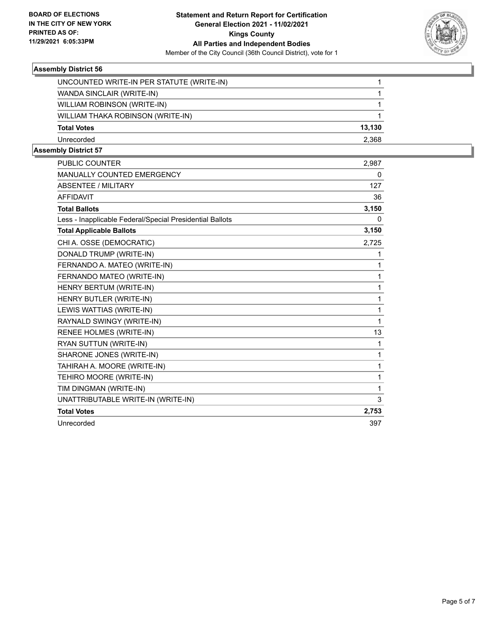

| UNCOUNTED WRITE-IN PER STATUTE (WRITE-IN) |        |
|-------------------------------------------|--------|
| WANDA SINCLAIR (WRITE-IN)                 |        |
| WILLIAM ROBINSON (WRITE-IN)               |        |
| WILLIAM THAKA ROBINSON (WRITE-IN)         |        |
| <b>Total Votes</b>                        | 13.130 |
| Unrecorded                                | 2.368  |
|                                           |        |

| <b>PUBLIC COUNTER</b>                                    | 2,987    |
|----------------------------------------------------------|----------|
| <b>MANUALLY COUNTED EMERGENCY</b>                        | 0        |
| <b>ABSENTEE / MILITARY</b>                               | 127      |
| <b>AFFIDAVIT</b>                                         | 36       |
| <b>Total Ballots</b>                                     | 3,150    |
| Less - Inapplicable Federal/Special Presidential Ballots | $\Omega$ |
| <b>Total Applicable Ballots</b>                          | 3,150    |
| CHI A. OSSE (DEMOCRATIC)                                 | 2,725    |
| DONALD TRUMP (WRITE-IN)                                  | 1        |
| FERNANDO A. MATEO (WRITE-IN)                             | 1        |
| FERNANDO MATEO (WRITE-IN)                                | 1        |
| HENRY BERTUM (WRITE-IN)                                  | 1        |
| HENRY BUTLER (WRITE-IN)                                  | 1        |
| LEWIS WATTIAS (WRITE-IN)                                 | 1        |
| RAYNALD SWINGY (WRITE-IN)                                | 1        |
| RENEE HOLMES (WRITE-IN)                                  | 13       |
| RYAN SUTTUN (WRITE-IN)                                   | 1        |
| SHARONE JONES (WRITE-IN)                                 | 1        |
| TAHIRAH A. MOORE (WRITE-IN)                              | 1        |
| TEHIRO MOORE (WRITE-IN)                                  | 1        |
| TIM DINGMAN (WRITE-IN)                                   | 1        |
| UNATTRIBUTABLE WRITE-IN (WRITE-IN)                       | 3        |
| <b>Total Votes</b>                                       | 2,753    |
| Unrecorded                                               | 397      |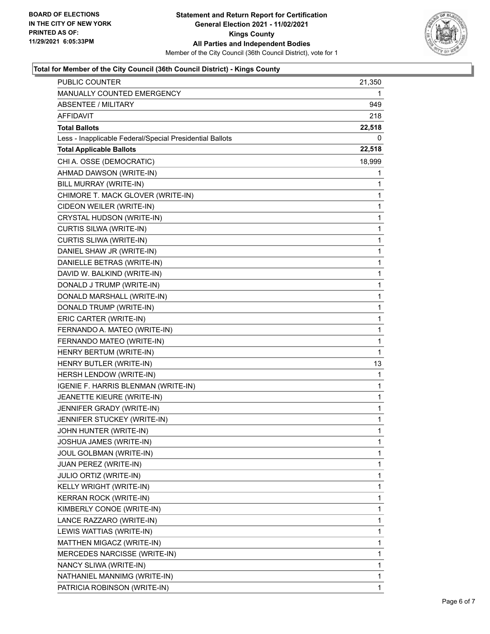

#### **Total for Member of the City Council (36th Council District) - Kings County**

| PUBLIC COUNTER                                           | 21,350       |
|----------------------------------------------------------|--------------|
| MANUALLY COUNTED EMERGENCY                               | 1            |
| ABSENTEE / MILITARY                                      | 949.         |
| <b>AFFIDAVIT</b>                                         | 218          |
| <b>Total Ballots</b>                                     | 22,518       |
| Less - Inapplicable Federal/Special Presidential Ballots | 0            |
| <b>Total Applicable Ballots</b>                          | 22,518       |
| CHI A. OSSE (DEMOCRATIC)                                 | 18,999       |
| AHMAD DAWSON (WRITE-IN)                                  | 1            |
| BILL MURRAY (WRITE-IN)                                   | 1            |
| CHIMORE T. MACK GLOVER (WRITE-IN)                        | 1            |
| CIDEON WEILER (WRITE-IN)                                 | 1            |
| CRYSTAL HUDSON (WRITE-IN)                                | 1            |
| CURTIS SILWA (WRITE-IN)                                  | 1            |
| CURTIS SLIWA (WRITE-IN)                                  | $\mathbf{1}$ |
| DANIEL SHAW JR (WRITE-IN)                                | 1            |
| DANIELLE BETRAS (WRITE-IN)                               | 1            |
| DAVID W. BALKIND (WRITE-IN)                              | 1            |
| DONALD J TRUMP (WRITE-IN)                                | 1            |
| DONALD MARSHALL (WRITE-IN)                               | 1            |
| DONALD TRUMP (WRITE-IN)                                  | $\mathbf{1}$ |
| ERIC CARTER (WRITE-IN)                                   | 1            |
| FERNANDO A. MATEO (WRITE-IN)                             | 1            |
| FERNANDO MATEO (WRITE-IN)                                | 1            |
| HENRY BERTUM (WRITE-IN)                                  | 1            |
| HENRY BUTLER (WRITE-IN)                                  | 13           |
| HERSH LENDOW (WRITE-IN)                                  | 1            |
| IGENIE F. HARRIS BLENMAN (WRITE-IN)                      | 1            |
| JEANETTE KIEURE (WRITE-IN)                               | 1            |
| JENNIFER GRADY (WRITE-IN)                                | 1            |
| JENNIFER STUCKEY (WRITE-IN)                              | 1            |
| JOHN HUNTER (WRITE-IN)                                   | 1            |
| JOSHUA JAMES (WRITE-IN)                                  | 1            |
| JOUL GOLBMAN (WRITE-IN)                                  | 1            |
| JUAN PEREZ (WRITE-IN)                                    | 1            |
| JULIO ORTIZ (WRITE-IN)                                   | 1            |
| KELLY WRIGHT (WRITE-IN)                                  | 1            |
| KERRAN ROCK (WRITE-IN)                                   | 1            |
| KIMBERLY CONOE (WRITE-IN)                                | 1            |
| LANCE RAZZARO (WRITE-IN)                                 | 1            |
| LEWIS WATTIAS (WRITE-IN)                                 | 1            |
| MATTHEN MIGACZ (WRITE-IN)                                | 1            |
| MERCEDES NARCISSE (WRITE-IN)                             | 1            |
| NANCY SLIWA (WRITE-IN)                                   | 1            |
| NATHANIEL MANNIMG (WRITE-IN)                             | 1            |
| PATRICIA ROBINSON (WRITE-IN)                             | 1            |